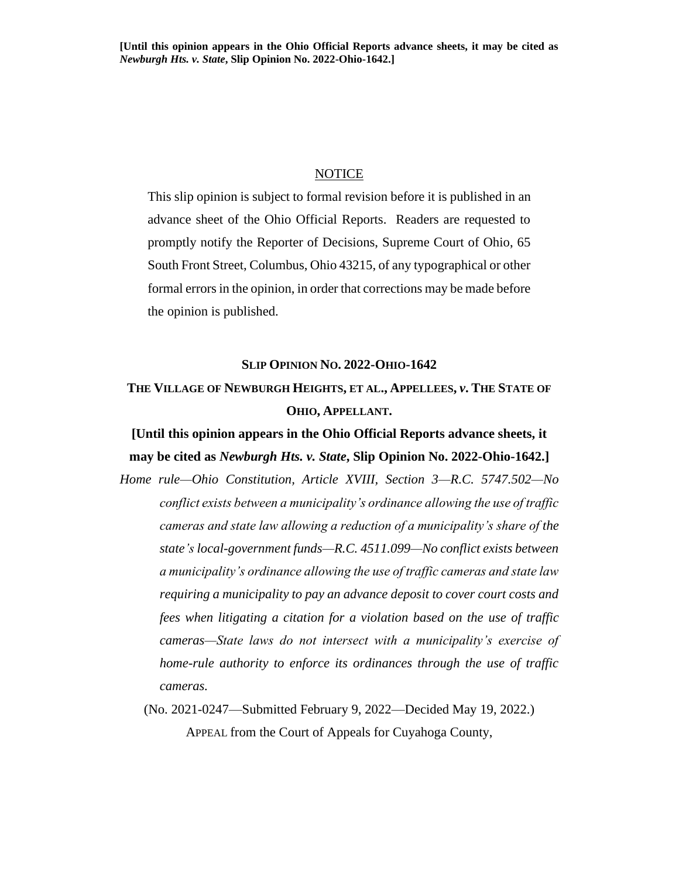#### NOTICE

This slip opinion is subject to formal revision before it is published in an advance sheet of the Ohio Official Reports. Readers are requested to promptly notify the Reporter of Decisions, Supreme Court of Ohio, 65 South Front Street, Columbus, Ohio 43215, of any typographical or other formal errors in the opinion, in order that corrections may be made before the opinion is published.

## **SLIP OPINION NO. 2022-OHIO-1642**

# **THE VILLAGE OF NEWBURGH HEIGHTS, ET AL., APPELLEES,** *v***. THE STATE OF OHIO, APPELLANT.**

# **[Until this opinion appears in the Ohio Official Reports advance sheets, it may be cited as** *Newburgh Hts. v. State***, Slip Opinion No. 2022-Ohio-1642.]**

- *Home rule—Ohio Constitution, Article XVIII, Section 3—R.C. 5747.502—No conflict exists between a municipality's ordinance allowing the use of traffic cameras and state law allowing a reduction of a municipality's share of the state's local-government funds—R.C. 4511.099—No conflict exists between a municipality's ordinance allowing the use of traffic cameras and state law requiring a municipality to pay an advance deposit to cover court costs and fees when litigating a citation for a violation based on the use of traffic cameras—State laws do not intersect with a municipality's exercise of home-rule authority to enforce its ordinances through the use of traffic cameras.*
	- (No. 2021-0247—Submitted February 9, 2022—Decided May 19, 2022.) APPEAL from the Court of Appeals for Cuyahoga County,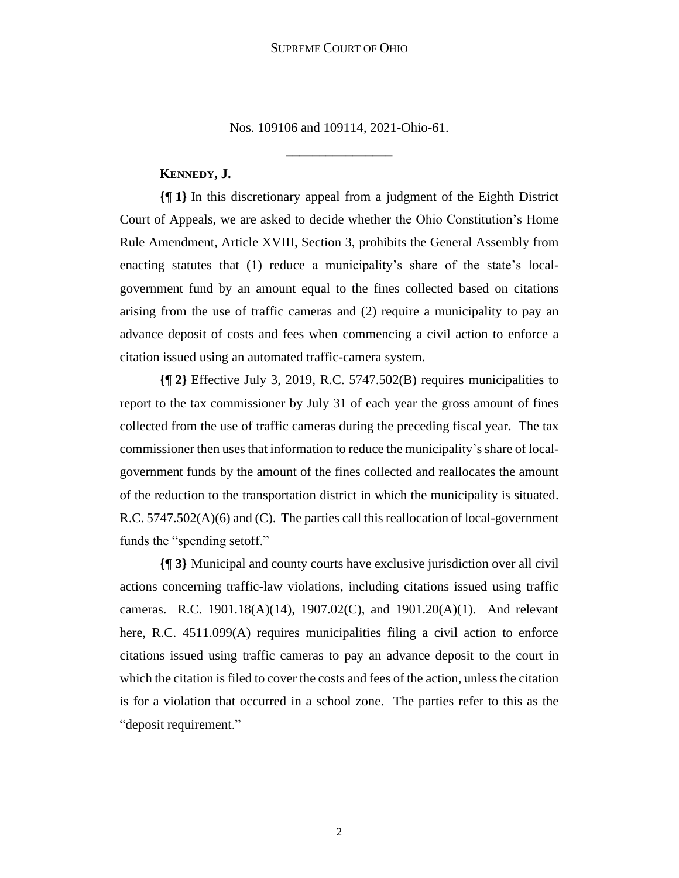Nos. 109106 and 109114, 2021-Ohio-61.

**\_\_\_\_\_\_\_\_\_\_\_\_\_\_\_\_**

# **KENNEDY, J.**

**{¶ 1}** In this discretionary appeal from a judgment of the Eighth District Court of Appeals, we are asked to decide whether the Ohio Constitution's Home Rule Amendment, Article XVIII, Section 3, prohibits the General Assembly from enacting statutes that (1) reduce a municipality's share of the state's localgovernment fund by an amount equal to the fines collected based on citations arising from the use of traffic cameras and (2) require a municipality to pay an advance deposit of costs and fees when commencing a civil action to enforce a citation issued using an automated traffic-camera system.

**{¶ 2}** Effective July 3, 2019, R.C. 5747.502(B) requires municipalities to report to the tax commissioner by July 31 of each year the gross amount of fines collected from the use of traffic cameras during the preceding fiscal year. The tax commissioner then uses that information to reduce the municipality's share of localgovernment funds by the amount of the fines collected and reallocates the amount of the reduction to the transportation district in which the municipality is situated. R.C. 5747.502(A)(6) and (C). The parties call this reallocation of local-government funds the "spending setoff."

**{¶ 3}** Municipal and county courts have exclusive jurisdiction over all civil actions concerning traffic-law violations, including citations issued using traffic cameras. R.C. 1901.18(A)(14), 1907.02(C), and 1901.20(A)(1). And relevant here, R.C. 4511.099(A) requires municipalities filing a civil action to enforce citations issued using traffic cameras to pay an advance deposit to the court in which the citation is filed to cover the costs and fees of the action, unless the citation is for a violation that occurred in a school zone. The parties refer to this as the "deposit requirement."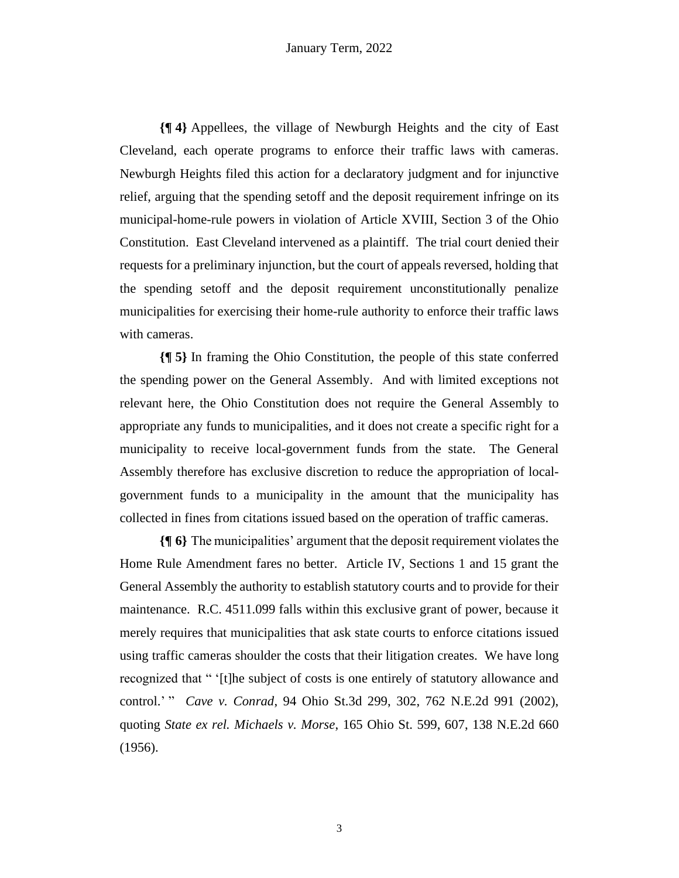**{¶ 4}** Appellees, the village of Newburgh Heights and the city of East Cleveland, each operate programs to enforce their traffic laws with cameras. Newburgh Heights filed this action for a declaratory judgment and for injunctive relief, arguing that the spending setoff and the deposit requirement infringe on its municipal-home-rule powers in violation of Article XVIII, Section 3 of the Ohio Constitution. East Cleveland intervened as a plaintiff. The trial court denied their requests for a preliminary injunction, but the court of appeals reversed, holding that the spending setoff and the deposit requirement unconstitutionally penalize municipalities for exercising their home-rule authority to enforce their traffic laws with cameras.

**{¶ 5}** In framing the Ohio Constitution, the people of this state conferred the spending power on the General Assembly. And with limited exceptions not relevant here, the Ohio Constitution does not require the General Assembly to appropriate any funds to municipalities, and it does not create a specific right for a municipality to receive local-government funds from the state. The General Assembly therefore has exclusive discretion to reduce the appropriation of localgovernment funds to a municipality in the amount that the municipality has collected in fines from citations issued based on the operation of traffic cameras.

**{¶ 6}** The municipalities' argument that the deposit requirement violates the Home Rule Amendment fares no better. Article IV, Sections 1 and 15 grant the General Assembly the authority to establish statutory courts and to provide for their maintenance. R.C. 4511.099 falls within this exclusive grant of power, because it merely requires that municipalities that ask state courts to enforce citations issued using traffic cameras shoulder the costs that their litigation creates. We have long recognized that " '[t]he subject of costs is one entirely of statutory allowance and control.' " *Cave v. Conrad*, 94 Ohio St.3d 299, 302, 762 N.E.2d 991 (2002), quoting *State ex rel. Michaels v. Morse*, 165 Ohio St. 599, 607, 138 N.E.2d 660 (1956).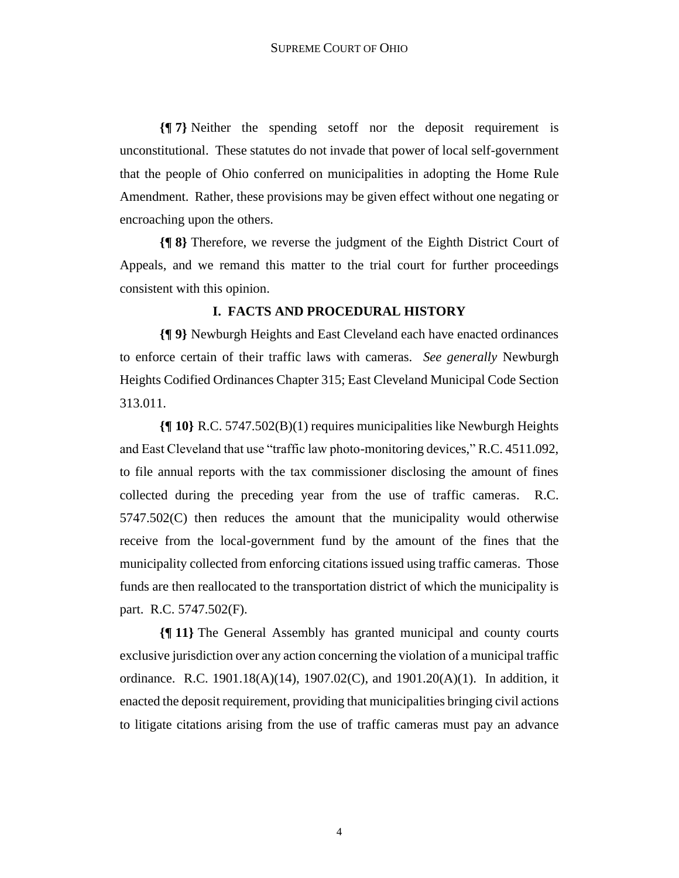**{¶ 7}** Neither the spending setoff nor the deposit requirement is unconstitutional. These statutes do not invade that power of local self-government that the people of Ohio conferred on municipalities in adopting the Home Rule Amendment. Rather, these provisions may be given effect without one negating or encroaching upon the others.

**{¶ 8}** Therefore, we reverse the judgment of the Eighth District Court of Appeals, and we remand this matter to the trial court for further proceedings consistent with this opinion.

# **I. FACTS AND PROCEDURAL HISTORY**

**{¶ 9}** Newburgh Heights and East Cleveland each have enacted ordinances to enforce certain of their traffic laws with cameras. *See generally* Newburgh Heights Codified Ordinances Chapter 315; East Cleveland Municipal Code Section 313.011.

**{¶ 10}** R.C. 5747.502(B)(1) requires municipalities like Newburgh Heights and East Cleveland that use "traffic law photo-monitoring devices," R.C. 4511.092, to file annual reports with the tax commissioner disclosing the amount of fines collected during the preceding year from the use of traffic cameras. R.C. 5747.502(C) then reduces the amount that the municipality would otherwise receive from the local-government fund by the amount of the fines that the municipality collected from enforcing citations issued using traffic cameras. Those funds are then reallocated to the transportation district of which the municipality is part. R.C. 5747.502(F).

**{¶ 11}** The General Assembly has granted municipal and county courts exclusive jurisdiction over any action concerning the violation of a municipal traffic ordinance. R.C. 1901.18(A)(14), 1907.02(C), and 1901.20(A)(1). In addition, it enacted the deposit requirement, providing that municipalities bringing civil actions to litigate citations arising from the use of traffic cameras must pay an advance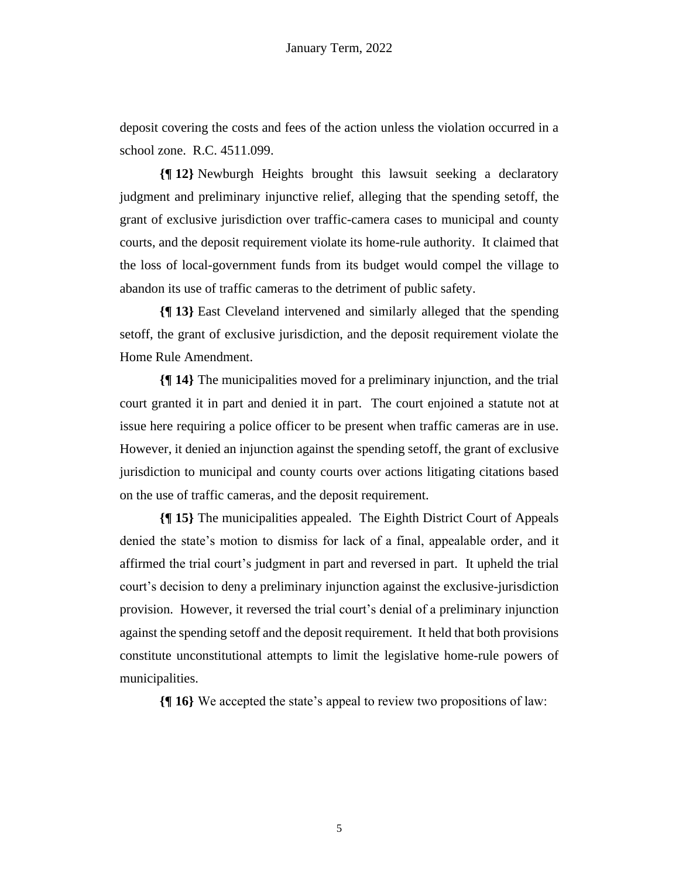deposit covering the costs and fees of the action unless the violation occurred in a school zone. R.C. 4511.099.

**{¶ 12}** Newburgh Heights brought this lawsuit seeking a declaratory judgment and preliminary injunctive relief, alleging that the spending setoff, the grant of exclusive jurisdiction over traffic-camera cases to municipal and county courts, and the deposit requirement violate its home-rule authority. It claimed that the loss of local-government funds from its budget would compel the village to abandon its use of traffic cameras to the detriment of public safety.

**{¶ 13}** East Cleveland intervened and similarly alleged that the spending setoff, the grant of exclusive jurisdiction, and the deposit requirement violate the Home Rule Amendment.

**{¶ 14}** The municipalities moved for a preliminary injunction, and the trial court granted it in part and denied it in part. The court enjoined a statute not at issue here requiring a police officer to be present when traffic cameras are in use. However, it denied an injunction against the spending setoff, the grant of exclusive jurisdiction to municipal and county courts over actions litigating citations based on the use of traffic cameras, and the deposit requirement.

**{¶ 15}** The municipalities appealed. The Eighth District Court of Appeals denied the state's motion to dismiss for lack of a final, appealable order, and it affirmed the trial court's judgment in part and reversed in part. It upheld the trial court's decision to deny a preliminary injunction against the exclusive-jurisdiction provision. However, it reversed the trial court's denial of a preliminary injunction against the spending setoff and the deposit requirement. It held that both provisions constitute unconstitutional attempts to limit the legislative home-rule powers of municipalities.

**{¶ 16}** We accepted the state's appeal to review two propositions of law: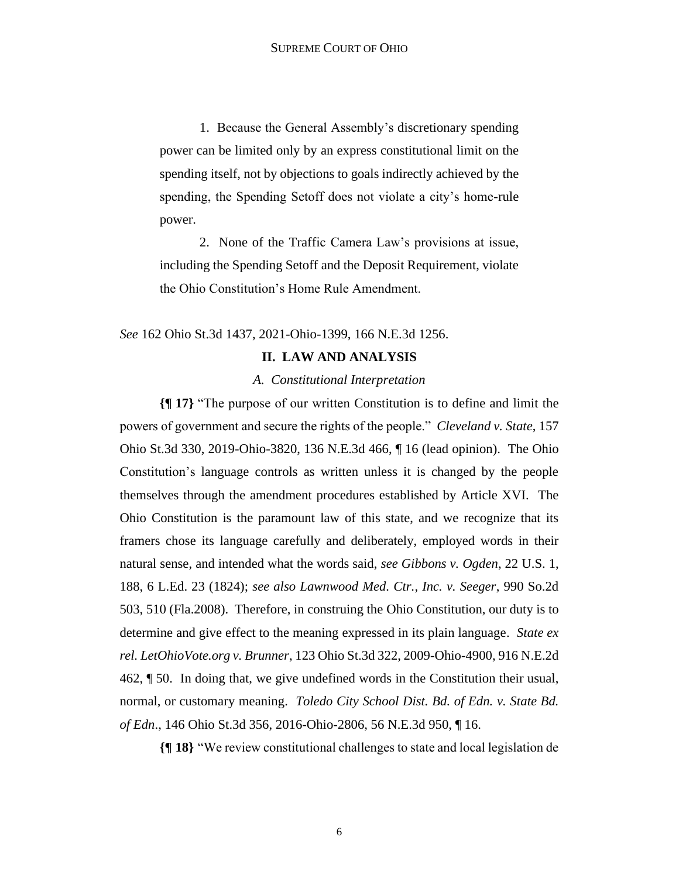1. Because the General Assembly's discretionary spending power can be limited only by an express constitutional limit on the spending itself, not by objections to goals indirectly achieved by the spending, the Spending Setoff does not violate a city's home-rule power.

2. None of the Traffic Camera Law's provisions at issue, including the Spending Setoff and the Deposit Requirement, violate the Ohio Constitution's Home Rule Amendment.

*See* 162 Ohio St.3d 1437, 2021-Ohio-1399, 166 N.E.3d 1256.

## **II. LAW AND ANALYSIS**

#### *A. Constitutional Interpretation*

**{¶ 17}** "The purpose of our written Constitution is to define and limit the powers of government and secure the rights of the people." *Cleveland v. State*, 157 Ohio St.3d 330, 2019-Ohio-3820, 136 N.E.3d 466, ¶ 16 (lead opinion). The Ohio Constitution's language controls as written unless it is changed by the people themselves through the amendment procedures established by Article XVI. The Ohio Constitution is the paramount law of this state, and we recognize that its framers chose its language carefully and deliberately, employed words in their natural sense, and intended what the words said, *see Gibbons v. Ogden*, 22 U.S. 1, 188, 6 L.Ed. 23 (1824); *see also Lawnwood Med. Ctr., Inc. v. Seeger*, 990 So.2d 503, 510 (Fla.2008). Therefore, in construing the Ohio Constitution, our duty is to determine and give effect to the meaning expressed in its plain language. *State ex rel. LetOhioVote.org v. Brunner*, 123 Ohio St.3d 322, 2009-Ohio-4900, 916 N.E.2d 462, ¶ 50. In doing that, we give undefined words in the Constitution their usual, normal, or customary meaning. *Toledo City School Dist. Bd. of Edn. v. State Bd. of Edn*., 146 Ohio St.3d 356, 2016-Ohio-2806, 56 N.E.3d 950, ¶ 16.

**{¶ 18}** "We review constitutional challenges to state and local legislation de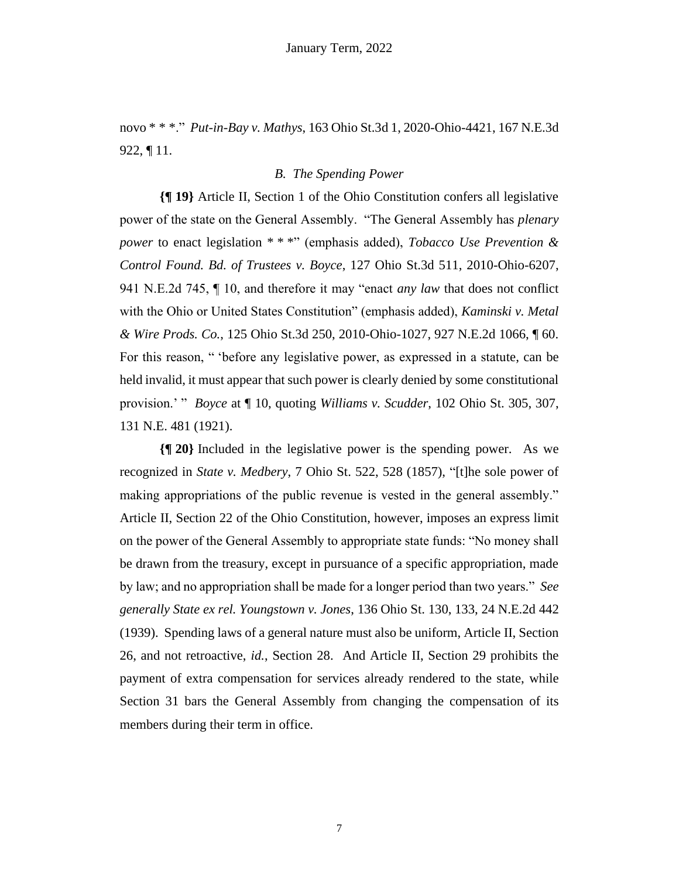novo \* \* \*." *Put-in-Bay v. Mathys*, 163 Ohio St.3d 1, 2020-Ohio-4421, 167 N.E.3d 922, ¶ 11.

# *B. The Spending Power*

**{¶ 19}** Article II, Section 1 of the Ohio Constitution confers all legislative power of the state on the General Assembly. "The General Assembly has *plenary power* to enact legislation \* \* \*" (emphasis added), *Tobacco Use Prevention & Control Found. Bd. of Trustees v. Boyce*, 127 Ohio St.3d 511, 2010-Ohio-6207, 941 N.E.2d 745, ¶ 10, and therefore it may "enact *any law* that does not conflict with the Ohio or United States Constitution" (emphasis added), *Kaminski v. Metal & Wire Prods. Co.*, 125 Ohio St.3d 250, 2010-Ohio-1027, 927 N.E.2d 1066, ¶ 60. For this reason, " 'before any legislative power, as expressed in a statute, can be held invalid, it must appear that such power is clearly denied by some constitutional provision.' " *Boyce* at ¶ 10, quoting *Williams v. Scudder*, 102 Ohio St. 305, 307, 131 N.E. 481 (1921).

**{¶ 20}** Included in the legislative power is the spending power. As we recognized in *State v. Medbery*, 7 Ohio St. 522, 528 (1857), "[t]he sole power of making appropriations of the public revenue is vested in the general assembly." Article II, Section 22 of the Ohio Constitution, however, imposes an express limit on the power of the General Assembly to appropriate state funds: "No money shall be drawn from the treasury, except in pursuance of a specific appropriation, made by law; and no appropriation shall be made for a longer period than two years." *See generally State ex rel. Youngstown v. Jones*, 136 Ohio St. 130, 133, 24 N.E.2d 442 (1939). Spending laws of a general nature must also be uniform, Article II, Section 26, and not retroactive, *id.*, Section 28. And Article II, Section 29 prohibits the payment of extra compensation for services already rendered to the state, while Section 31 bars the General Assembly from changing the compensation of its members during their term in office.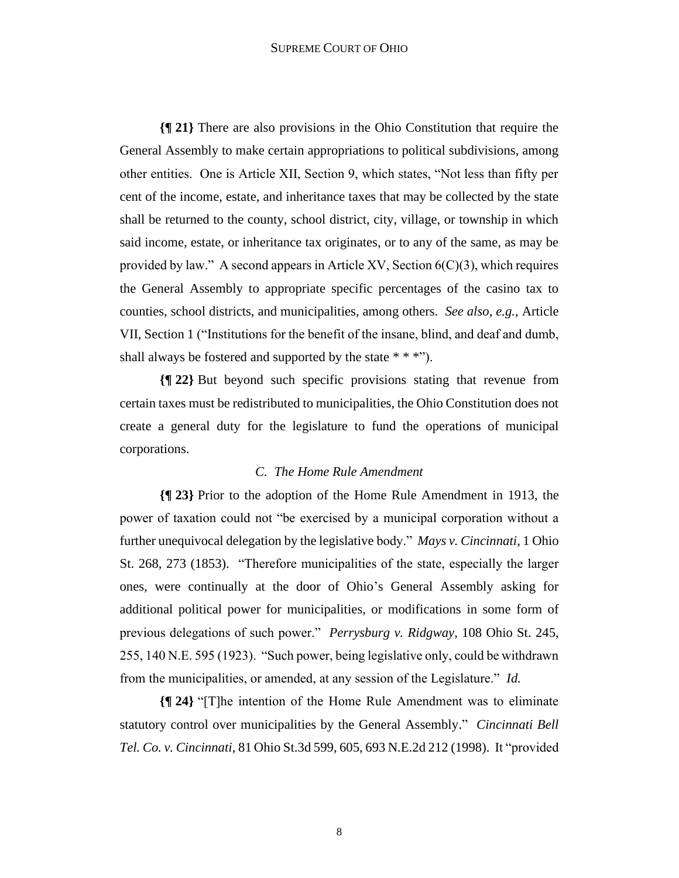#### SUPREME COURT OF OHIO

**{¶ 21}** There are also provisions in the Ohio Constitution that require the General Assembly to make certain appropriations to political subdivisions, among other entities. One is Article XII, Section 9, which states, "Not less than fifty per cent of the income, estate, and inheritance taxes that may be collected by the state shall be returned to the county, school district, city, village, or township in which said income, estate, or inheritance tax originates, or to any of the same, as may be provided by law." A second appears in Article XV, Section  $6(C)(3)$ , which requires the General Assembly to appropriate specific percentages of the casino tax to counties, school districts, and municipalities, among others. *See also, e.g.*, Article VII, Section 1 ("Institutions for the benefit of the insane, blind, and deaf and dumb, shall always be fostered and supported by the state  $* * *$ ").

**{¶ 22}** But beyond such specific provisions stating that revenue from certain taxes must be redistributed to municipalities, the Ohio Constitution does not create a general duty for the legislature to fund the operations of municipal corporations.

## *C. The Home Rule Amendment*

**{¶ 23}** Prior to the adoption of the Home Rule Amendment in 1913, the power of taxation could not "be exercised by a municipal corporation without a further unequivocal delegation by the legislative body." *Mays v. Cincinnati*, 1 Ohio St. 268, 273 (1853). "Therefore municipalities of the state, especially the larger ones, were continually at the door of Ohio's General Assembly asking for additional political power for municipalities, or modifications in some form of previous delegations of such power." *Perrysburg v. Ridgway*, 108 Ohio St. 245, 255, 140 N.E. 595 (1923). "Such power, being legislative only, could be withdrawn from the municipalities, or amended, at any session of the Legislature." *Id.*

**{¶ 24}** "[T]he intention of the Home Rule Amendment was to eliminate statutory control over municipalities by the General Assembly." *Cincinnati Bell Tel. Co. v. Cincinnati*, 81 Ohio St.3d 599, 605, 693 N.E.2d 212 (1998). It "provided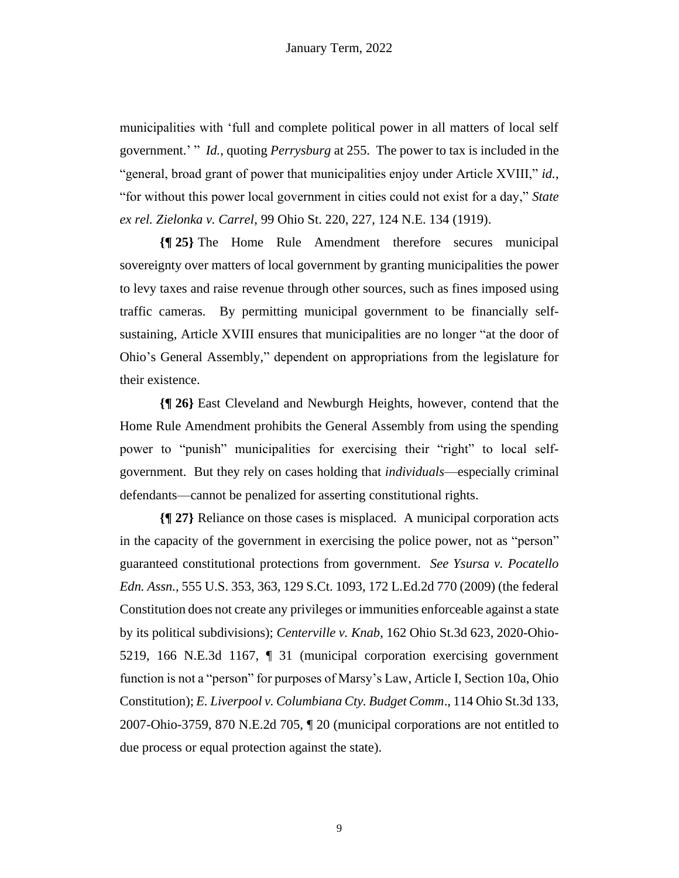municipalities with 'full and complete political power in all matters of local self government.' " *Id.*, quoting *Perrysburg* at 255. The power to tax is included in the "general, broad grant of power that municipalities enjoy under Article XVIII," *id.*, "for without this power local government in cities could not exist for a day," *State ex rel. Zielonka v. Carrel*, 99 Ohio St. 220, 227, 124 N.E. 134 (1919).

**{¶ 25}** The Home Rule Amendment therefore secures municipal sovereignty over matters of local government by granting municipalities the power to levy taxes and raise revenue through other sources, such as fines imposed using traffic cameras. By permitting municipal government to be financially selfsustaining, Article XVIII ensures that municipalities are no longer "at the door of Ohio's General Assembly," dependent on appropriations from the legislature for their existence.

**{¶ 26}** East Cleveland and Newburgh Heights, however, contend that the Home Rule Amendment prohibits the General Assembly from using the spending power to "punish" municipalities for exercising their "right" to local selfgovernment. But they rely on cases holding that *individuals*—especially criminal defendants—cannot be penalized for asserting constitutional rights.

**{¶ 27}** Reliance on those cases is misplaced. A municipal corporation acts in the capacity of the government in exercising the police power, not as "person" guaranteed constitutional protections from government. *See Ysursa v. Pocatello Edn. Assn.,* 555 U.S. 353, 363, 129 S.Ct. 1093, 172 L.Ed.2d 770 (2009) (the federal Constitution does not create any privileges or immunities enforceable against a state by its political subdivisions); *Centerville v. Knab*, 162 Ohio St.3d 623, 2020-Ohio-5219, 166 N.E.3d 1167, ¶ 31 (municipal corporation exercising government function is not a "person" for purposes of Marsy's Law, Article I, Section 10a, Ohio Constitution); *E. Liverpool v. Columbiana Cty. Budget Comm*., 114 Ohio St.3d 133, 2007-Ohio-3759, 870 N.E.2d 705, ¶ 20 (municipal corporations are not entitled to due process or equal protection against the state).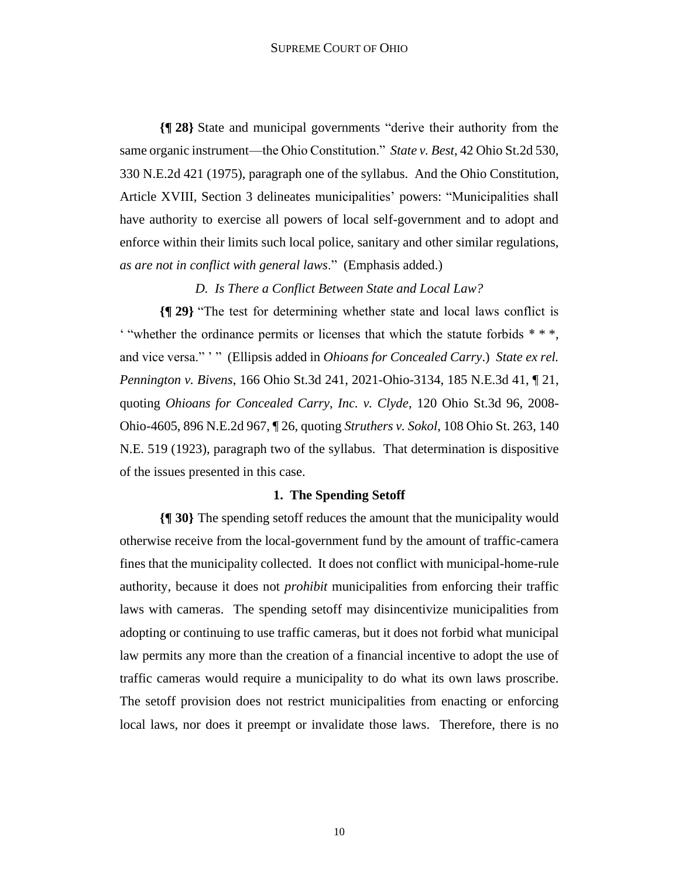**{¶ 28}** State and municipal governments "derive their authority from the same organic instrument—the Ohio Constitution." *State v. Best*, 42 Ohio St.2d 530, 330 N.E.2d 421 (1975), paragraph one of the syllabus. And the Ohio Constitution, Article XVIII, Section 3 delineates municipalities' powers: "Municipalities shall have authority to exercise all powers of local self-government and to adopt and enforce within their limits such local police, sanitary and other similar regulations, *as are not in conflict with general laws*." (Emphasis added.)

*D. Is There a Conflict Between State and Local Law?*

**{¶ 29}** "The test for determining whether state and local laws conflict is ' "whether the ordinance permits or licenses that which the statute forbids \* \* \*, and vice versa." '" (Ellipsis added in *Ohioans for Concealed Carry*.) *State ex rel. Pennington v. Bivens*, 166 Ohio St.3d 241, 2021-Ohio-3134, 185 N.E.3d 41, ¶ 21, quoting *Ohioans for Concealed Carry, Inc. v. Clyde*, 120 Ohio St.3d 96, 2008- Ohio-4605, 896 N.E.2d 967, ¶ 26, quoting *Struthers v. Sokol*, 108 Ohio St. 263, 140 N.E. 519 (1923), paragraph two of the syllabus. That determination is dispositive of the issues presented in this case.

## **1. The Spending Setoff**

**{¶ 30}** The spending setoff reduces the amount that the municipality would otherwise receive from the local-government fund by the amount of traffic-camera fines that the municipality collected. It does not conflict with municipal-home-rule authority, because it does not *prohibit* municipalities from enforcing their traffic laws with cameras. The spending setoff may disincentivize municipalities from adopting or continuing to use traffic cameras, but it does not forbid what municipal law permits any more than the creation of a financial incentive to adopt the use of traffic cameras would require a municipality to do what its own laws proscribe. The setoff provision does not restrict municipalities from enacting or enforcing local laws, nor does it preempt or invalidate those laws. Therefore, there is no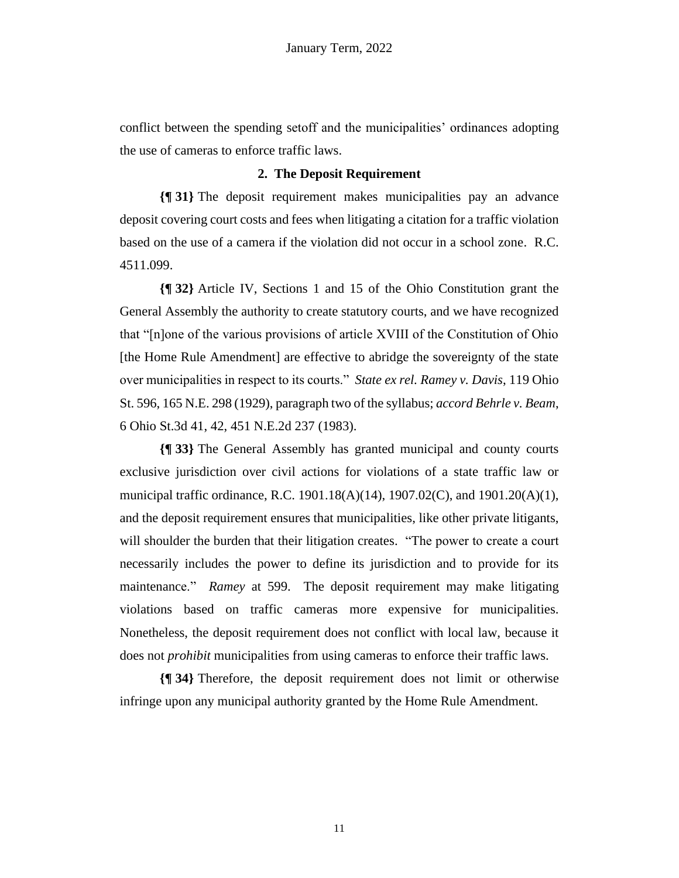conflict between the spending setoff and the municipalities' ordinances adopting the use of cameras to enforce traffic laws.

# **2. The Deposit Requirement**

**{¶ 31}** The deposit requirement makes municipalities pay an advance deposit covering court costs and fees when litigating a citation for a traffic violation based on the use of a camera if the violation did not occur in a school zone. R.C. 4511.099.

**{¶ 32}** Article IV, Sections 1 and 15 of the Ohio Constitution grant the General Assembly the authority to create statutory courts, and we have recognized that "[n]one of the various provisions of article XVIII of the Constitution of Ohio [the Home Rule Amendment] are effective to abridge the sovereignty of the state over municipalities in respect to its courts." *State ex rel. Ramey v. Davis*, 119 Ohio St. 596, 165 N.E. 298 (1929), paragraph two of the syllabus; *accord Behrle v. Beam*, 6 Ohio St.3d 41, 42, 451 N.E.2d 237 (1983).

**{¶ 33}** The General Assembly has granted municipal and county courts exclusive jurisdiction over civil actions for violations of a state traffic law or municipal traffic ordinance, R.C. 1901.18(A)(14), 1907.02(C), and 1901.20(A)(1), and the deposit requirement ensures that municipalities, like other private litigants, will shoulder the burden that their litigation creates. "The power to create a court necessarily includes the power to define its jurisdiction and to provide for its maintenance." *Ramey* at 599. The deposit requirement may make litigating violations based on traffic cameras more expensive for municipalities. Nonetheless, the deposit requirement does not conflict with local law, because it does not *prohibit* municipalities from using cameras to enforce their traffic laws.

**{¶ 34}** Therefore, the deposit requirement does not limit or otherwise infringe upon any municipal authority granted by the Home Rule Amendment.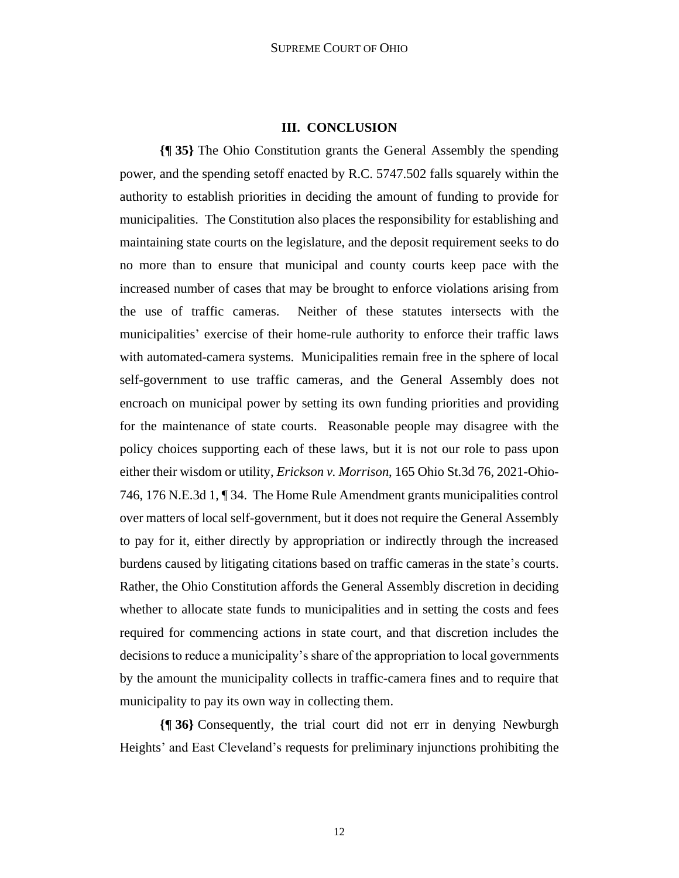## **III. CONCLUSION**

**{¶ 35}** The Ohio Constitution grants the General Assembly the spending power, and the spending setoff enacted by R.C. 5747.502 falls squarely within the authority to establish priorities in deciding the amount of funding to provide for municipalities. The Constitution also places the responsibility for establishing and maintaining state courts on the legislature, and the deposit requirement seeks to do no more than to ensure that municipal and county courts keep pace with the increased number of cases that may be brought to enforce violations arising from the use of traffic cameras. Neither of these statutes intersects with the municipalities' exercise of their home-rule authority to enforce their traffic laws with automated-camera systems. Municipalities remain free in the sphere of local self-government to use traffic cameras, and the General Assembly does not encroach on municipal power by setting its own funding priorities and providing for the maintenance of state courts. Reasonable people may disagree with the policy choices supporting each of these laws, but it is not our role to pass upon either their wisdom or utility, *Erickson v. Morrison*, 165 Ohio St.3d 76, 2021-Ohio-746, 176 N.E.3d 1, ¶ 34.The Home Rule Amendment grants municipalities control over matters of local self-government, but it does not require the General Assembly to pay for it, either directly by appropriation or indirectly through the increased burdens caused by litigating citations based on traffic cameras in the state's courts. Rather, the Ohio Constitution affords the General Assembly discretion in deciding whether to allocate state funds to municipalities and in setting the costs and fees required for commencing actions in state court, and that discretion includes the decisions to reduce a municipality's share of the appropriation to local governments by the amount the municipality collects in traffic-camera fines and to require that municipality to pay its own way in collecting them.

**{¶ 36}** Consequently, the trial court did not err in denying Newburgh Heights' and East Cleveland's requests for preliminary injunctions prohibiting the